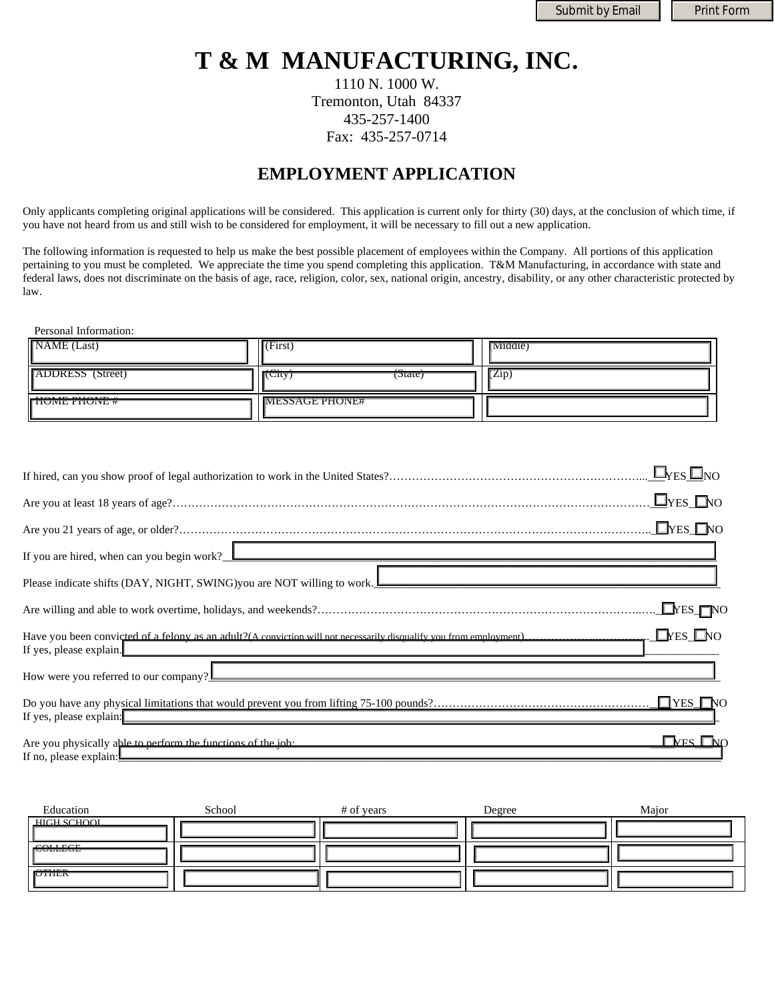Submit by Email | Print Form

# **T & M MANUFACTURING, INC.**

1110 N. 1000 W. Tremonton, Utah 84337 435-257-1400 Fax: 435-257-0714

# **EMPLOYMENT APPLICATION**

Only applicants completing original applications will be considered. This application is current only for thirty (30) days, at the conclusion of which time, if you have not heard from us and still wish to be considered for employment, it will be necessary to fill out a new application.

The following information is requested to help us make the best possible placement of employees within the Company. All portions of this application pertaining to you must be completed. We appreciate the time you spend completing this application. T&M Manufacturing, in accordance with state and federal laws, does not discriminate on the basis of age, race, religion, color, sex, national origin, ancestry, disability, or any other characteristic protected by law.

Personal Information:

| NAME (Last)                             | <b>CONTRACTOR</b><br>$\mathbf{I}$ (First)          | Middle) |
|-----------------------------------------|----------------------------------------------------|---------|
| <b>ADDRESS</b> (Street)                 | $\sim$<br>$\sim$<br>$\sigma$ ate)<br><b>ITUTTY</b> | (Zip)   |
| uau marraim<br><b>TIUIVIL FIIUIVL #</b> | <b>NIESSAGE PHONE#</b>                             |         |

| $\Box$ YES $\Box$ NO                                                                                                                                                                                                                                         |
|--------------------------------------------------------------------------------------------------------------------------------------------------------------------------------------------------------------------------------------------------------------|
| $\Box$ YES $\Box$ NO                                                                                                                                                                                                                                         |
| $\Box$ YES $\Box$ NO                                                                                                                                                                                                                                         |
| If you are hired, when can you begin work? $\Box$                                                                                                                                                                                                            |
| Please indicate shifts (DAY, NIGHT, SWING) you are NOT willing to work.                                                                                                                                                                                      |
| $\Box$ YES $\Box$ NO                                                                                                                                                                                                                                         |
| $\Box$ YES $\Box$ NO<br>Have you been convicted of a felony as an adult?(A conviction will not necessarily disqualify you from employment)<br>If yes, please explain.                                                                                        |
| How were you referred to our company?                                                                                                                                                                                                                        |
| If yes, please explain:                                                                                                                                                                                                                                      |
| $\Box$ Yes $\Box$ no<br>If no, please explain: <u>Decree and the set of the set of the set of the set of the set of the set of the set of the set of the set of the set of the set of the set of the set of the set of the set of the set of the set of </u> |

| Education      | School | # of years | Degree | Maior |
|----------------|--------|------------|--------|-------|
| HIGH SCHOOL    |        |            |        |       |
| <b>FOLLEGE</b> |        |            |        |       |
| <b>PTHER</b>   |        |            |        |       |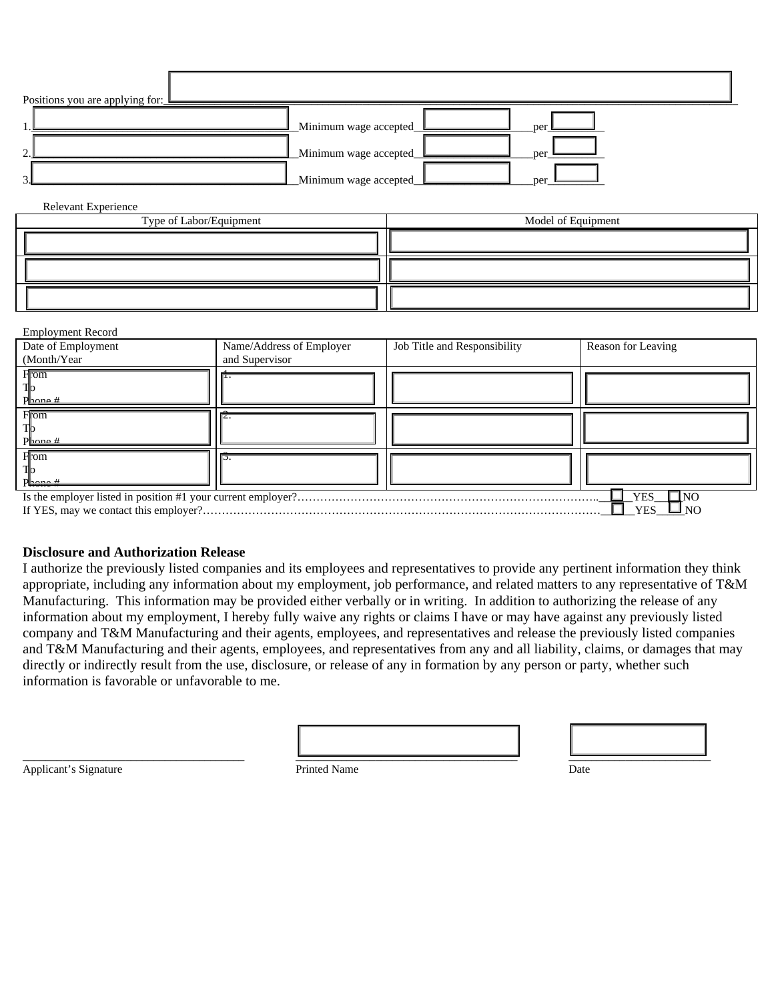| Positions you are applying for: |                         |       |
|---------------------------------|-------------------------|-------|
|                                 | Minimum wage accepted   | per l |
| $\bigcap$                       | _Minimum wage accepted_ | per   |
| $\sim$                          | Minimum wage accepted   | per   |

#### Relevant Experience

| Type of Labor/Equipment | Model of Equipment |
|-------------------------|--------------------|
|                         |                    |
|                         |                    |
|                         |                    |

#### Employment Record

| Date of Employment  | Name/Address of Employer | Job Title and Responsibility | Reason for Leaving |
|---------------------|--------------------------|------------------------------|--------------------|
| (Month/Year)        | and Supervisor           |                              |                    |
| From                |                          |                              |                    |
|                     |                          |                              |                    |
| $P_{\text{hone}}$ # |                          |                              |                    |
| From                |                          |                              |                    |
|                     |                          |                              |                    |
| $P_{\text{hone}}$ # |                          |                              |                    |
| <b>H</b> om         |                          |                              |                    |
|                     |                          |                              |                    |
| P <del>lacne#</del> |                          |                              |                    |
|                     |                          |                              | INO<br>YES         |
|                     |                          |                              | <b>YES</b><br>⊐ NO |

#### **Disclosure and Authorization Release**

I authorize the previously listed companies and its employees and representatives to provide any pertinent information they think appropriate, including any information about my employment, job performance, and related matters to any representative of T&M Manufacturing. This information may be provided either verbally or in writing. In addition to authorizing the release of any information about my employment, I hereby fully waive any rights or claims I have or may have against any previously listed company and T&M Manufacturing and their agents, employees, and representatives and release the previously listed companies and T&M Manufacturing and their agents, employees, and representatives from any and all liability, claims, or damages that may directly or indirectly result from the use, disclosure, or release of any in formation by any person or party, whether such information is favorable or unfavorable to me.

| Applicant's Signature<br>дррисащ в этут | <sup>D</sup> rinted Name | Date |
|-----------------------------------------|--------------------------|------|